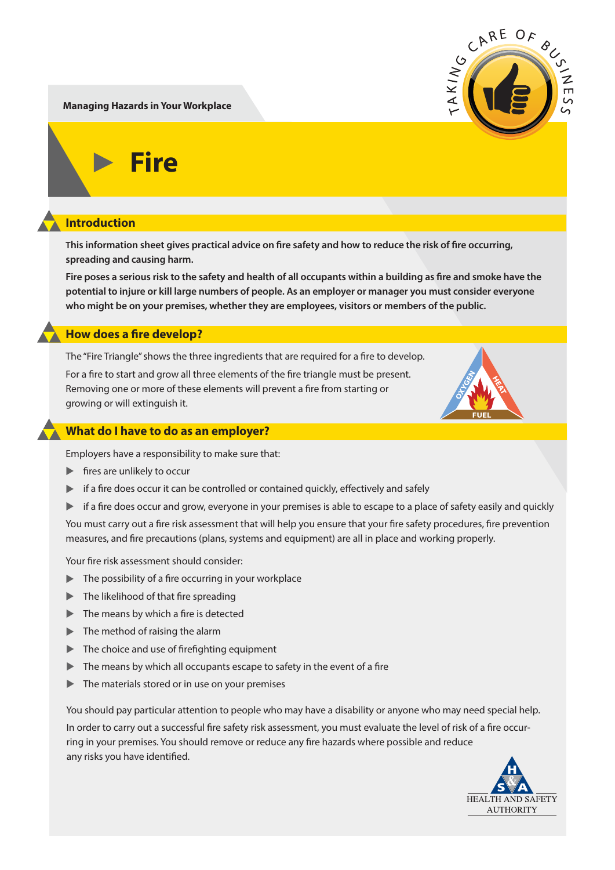**Managing Hazards in Your Workplace**

**Fire**

## **Introduction**

This information sheet gives practical advice on fire safety and how to reduce the risk of fire occurring, **spreading and causing harm.**

Fire poses a serious risk to the safety and health of all occupants within a building as fire and smoke have the **potential to injure or kill large numbers of people. As an employer or manager you must consider everyone who might be on your premises, whether they are employees, visitors or members of the public.**

### **How does a fire develop?**

The "Fire Triangle" shows the three ingredients that are reguired for a fire to develop.

For a fire to start and grow all three elements of the fire triangle must be present. Removing one or more of these elements will prevent a fire from starting or growing or will extinguish it.

### **What do I have to do as an employer?**

Employers have a responsibility to make sure that:

- $\blacktriangleright$  fires are unlikely to occur
- $\blacktriangleright$  if a fire does occur it can be controlled or contained quickly, effectively and safely
- If a fire does occur and grow, everyone in your premises is able to escape to a place of safety easily and quickly

You must carry out a fire risk assessment that will help you ensure that your fire safety procedures, fire prevention measures, and fire precautions (plans, systems and equipment) are all in place and working properly.

Your fire risk assessment should consider:

- $\blacktriangleright$  The possibility of a fire occurring in your workplace
- $\blacktriangleright$  The likelihood of that fire spreading
- $\blacktriangleright$  The means by which a fire is detected
- $\blacktriangleright$  The method of raising the alarm
- In The choice and use of firefighting equipment
- $\blacktriangleright$  The means by which all occupants escape to safety in the event of a fire
- ▲ The materials stored or in use on your premises

You should pay particular attention to people who may have a disability or anyone who may need special help.

In order to carry out a successful fire safety risk assessment, you must evaluate the level of risk of a fire occurring in your premises. You should remove or reduce any fire hazards where possible and reduce any risks you have identified.





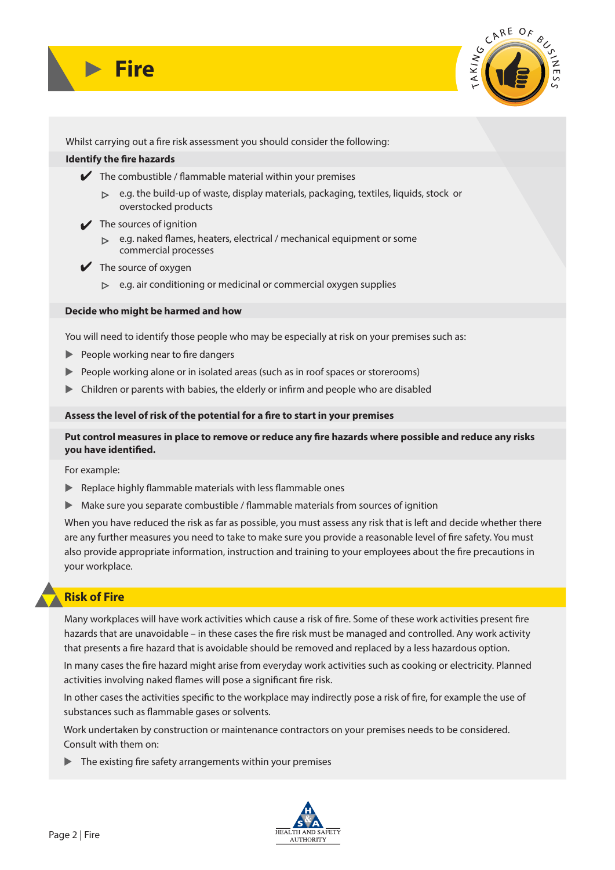



Whilst carrying out a fire risk assessment you should consider the following:

#### **Identify the fire hazards**

- $\blacktriangleright$  The combustible / flammable material within your premises
	- $\triangleright$  e.g. the build-up of waste, display materials, packaging, textiles, liquids, stock or overstocked products
- $\bigvee$  The sources of ignition
	- $\triangleright$  e.g. naked flames, heaters, electrical / mechanical equipment or some commercial processes
- $\blacktriangleright$  The source of oxygen
	- $\triangleright$  e.g. air conditioning or medicinal or commercial oxygen supplies

#### **Decide who might be harmed and how**

You will need to identify those people who may be especially at risk on your premises such as:

- **EXEC** People working near to fire dangers
- **Example 20** People working alone or in isolated areas (such as in roof spaces or storerooms)
- $\blacktriangleright$  Children or parents with babies, the elderly or infirm and people who are disabled

#### Assess the level of risk of the potential for a fire to start in your premises

### Put control measures in place to remove or reduce any fire hazards where possible and reduce any risks **you have identified.**

For example:

- $\blacktriangleright$  Replace highly flammable materials with less flammable ones
- $\blacktriangleright$  Make sure you separate combustible / flammable materials from sources of ignition

When you have reduced the risk as far as possible, you must assess any risk that is left and decide whether there are any further measures you need to take to make sure you provide a reasonable level of fire safety. You must also provide appropriate information, instruction and training to your employees about the fire precautions in your workplace.

# **Risk of Fire**

Many workplaces will have work activities which cause a risk of fire. Some of these work activities present fire hazards that are unavoidable – in these cases the fire risk must be managed and controlled. Any work activity that presents a fire hazard that is avoidable should be removed and replaced by a less hazardous option.

In many cases the fire hazard might arise from everyday work activities such as cooking or electricity. Planned activities involving naked flames will pose a significant fire risk.

In other cases the activities specific to the workplace may indirectly pose a risk of fire, for example the use of substances such as flammable gases or solvents.

Work undertaken by construction or maintenance contractors on your premises needs to be considered. Consult with them on:

 $\blacktriangleright$  The existing fire safety arrangements within your premises

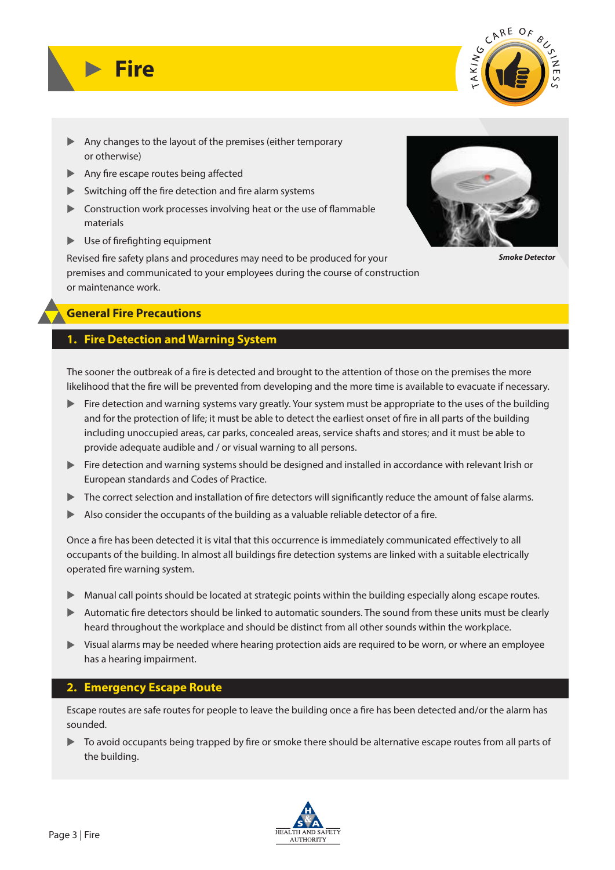

- ▲ Any changes to the layout of the premises (either temporary or otherwise)
- Any fire escape routes being affected
- $\blacktriangleright$  Switching off the fire detection and fire alarm systems
- $\blacktriangleright$  Construction work processes involving heat or the use of flammable materials
- **Use of firefighting equipment**

**Fire**

Revised fire safety plans and procedures may need to be produced for your premises and communicated to your employees during the course of construction or maintenance work.



*Smoke Detector*

# **General Fire Precautions**

# **1. Fire Detection and Warning System**

The sooner the outbreak of a fire is detected and brought to the attention of those on the premises the more likelihood that the fire will be prevented from developing and the more time is available to evacuate if necessary.

- ▶ Fire detection and warning systems vary greatly. Your system must be appropriate to the uses of the building and for the protection of life; it must be able to detect the earliest onset of fire in all parts of the building including unoccupied areas, car parks, concealed areas, service shafts and stores; and it must be able to provide adequate audible and / or visual warning to all persons.
- ▲ Fire detection and warning systems should be designed and installed in accordance with relevant Irish or European standards and Codes of Practice.
- Ine correct selection and installation of fire detectors will significantly reduce the amount of false alarms.
- $\blacktriangleright$  Also consider the occupants of the building as a valuable reliable detector of a fire.

Once a fire has been detected it is vital that this occurrence is immediately communicated effectively to all occupants of the building. In almost all buildings fire detection systems are linked with a suitable electrically operated fire warning system.

- ▲ Manual call points should be located at strategic points within the building especially along escape routes.
- ▶ Automatic fire detectors should be linked to automatic sounders. The sound from these units must be clearly heard throughout the workplace and should be distinct from all other sounds within the workplace.
- If Visual alarms may be needed where hearing protection aids are required to be worn, or where an employee has a hearing impairment.

# **2. Emergency Escape Route**

Escape routes are safe routes for people to leave the building once a fire has been detected and/or the alarm has sounded.

In avoid occupants being trapped by fire or smoke there should be alternative escape routes from all parts of the building.

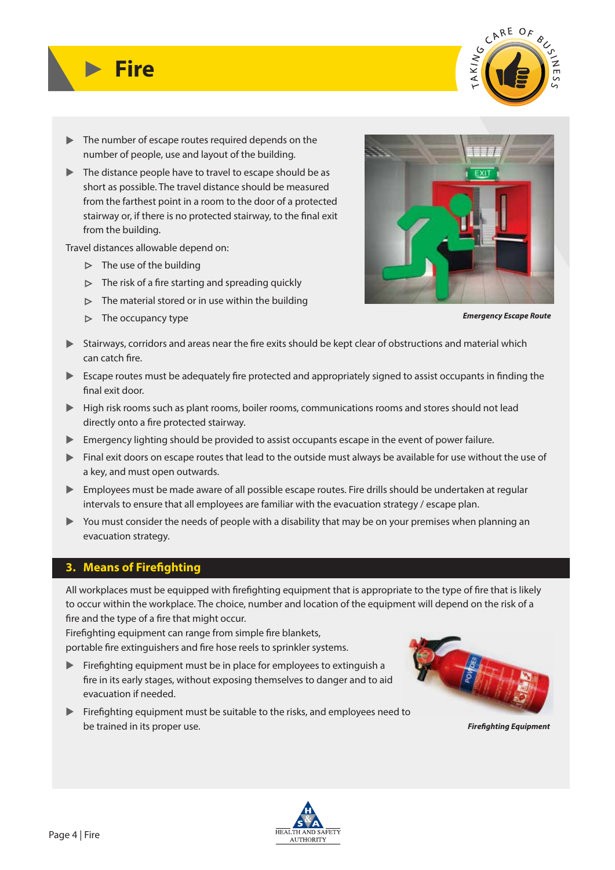

- ▲ The number of escape routes required depends on the number of people, use and layout of the building.
- If the distance people have to travel to escape should be as short as possible. The travel distance should be measured from the farthest point in a room to the door of a protected stairway or, if there is no protected stairway, to the final exit from the building.

Travel distances allowable depend on:

 $\triangleright$  The use of the building

**Fire**

- $\triangleright$  The risk of a fire starting and spreading quickly
- $\triangleright$  The material stored or in use within the building
- $\triangleright$  The occupancy type



*Emergency Escape Route*

- In Stairways, corridors and areas near the fire exits should be kept clear of obstructions and material which can catch fire.
- Escape routes must be adequately fire protected and appropriately signed to assist occupants in finding the final exit door.
- ▶ High risk rooms such as plant rooms, boiler rooms, communications rooms and stores should not lead directly onto a fire protected stairway.
- **Emergency lighting should be provided to assist occupants escape in the event of power failure.**
- ▶ Final exit doors on escape routes that lead to the outside must always be available for use without the use of a key, and must open outwards.
- ▶ Employees must be made aware of all possible escape routes. Fire drills should be undertaken at regular intervals to ensure that all employees are familiar with the evacuation strategy / escape plan.
- ▶ You must consider the needs of people with a disability that may be on your premises when planning an evacuation strategy.

### **3. Means of Firefighting**

All workplaces must be equipped with firefighting equipment that is appropriate to the type of fire that is likely to occur within the workplace. The choice, number and location of the equipment will depend on the risk of a fire and the type of a fire that might occur.

Firefighting equipment can range from simple fire blankets, portable fire extinguishers and fire hose reels to sprinkler systems.

- **Examber 1** Firefighting equipment must be in place for employees to extinguish a fire in its early stages, without exposing themselves to danger and to aid evacuation if needed.
- **Examber 1** Firefighting equipment must be suitable to the risks, and employees need to be trained in its proper use.



*Fireghting Equipment*

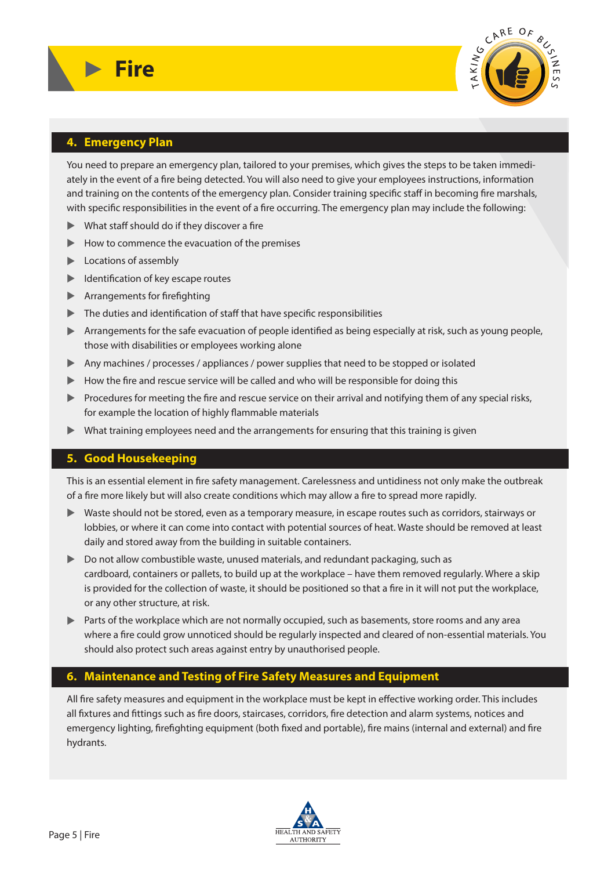

### **4. Emergency Plan**

**Fire**

You need to prepare an emergency plan, tailored to your premises, which gives the steps to be taken immediately in the event of a fire being detected. You will also need to give your employees instructions, information and training on the contents of the emergency plan. Consider training specific staff in becoming fire marshals, with specific responsibilities in the event of a fire occurring. The emergency plan may include the following:

- $\blacktriangleright$  What staff should do if they discover a fire
- **How to commence the evacuation of the premises**
- **Locations of assembly**
- **Leape** Identification of key escape routes
- **Arrangements for firefighting**
- $\blacktriangleright$  The duties and identification of staff that have specific responsibilities
- ▶ Arrangements for the safe evacuation of people identified as being especially at risk, such as young people, those with disabilities or employees working alone
- ▲ Any machines / processes / appliances / power supplies that need to be stopped or isolated
- ▶ How the fire and rescue service will be called and who will be responsible for doing this
- I Procedures for meeting the fire and rescue service on their arrival and notifying them of any special risks, for example the location of highly flammable materials
- ▲ What training employees need and the arrangements for ensuring that this training is given

### **5. Good Housekeeping**

This is an essential element in fire safety management. Carelessness and untidiness not only make the outbreak of a fire more likely but will also create conditions which may allow a fire to spread more rapidly.

- ▶ Waste should not be stored, even as a temporary measure, in escape routes such as corridors, stairways or lobbies, or where it can come into contact with potential sources of heat. Waste should be removed at least daily and stored away from the building in suitable containers.
- ▶ Do not allow combustible waste, unused materials, and redundant packaging, such as cardboard, containers or pallets, to build up at the workplace – have them removed regularly. Where a skip is provided for the collection of waste, it should be positioned so that a fire in it will not put the workplace, or any other structure, at risk.
- In the workplace which are not normally occupied, such as basements, store rooms and any area where a fire could grow unnoticed should be regularly inspected and cleared of non-essential materials. You should also protect such areas against entry by unauthorised people.

### **6. Maintenance and Testing of Fire Safety Measures and Equipment**

All fire safety measures and equipment in the workplace must be kept in effective working order. This includes all fixtures and fittings such as fire doors, staircases, corridors, fire detection and alarm systems, notices and emergency lighting, firefighting equipment (both fixed and portable), fire mains (internal and external) and fire hydrants.